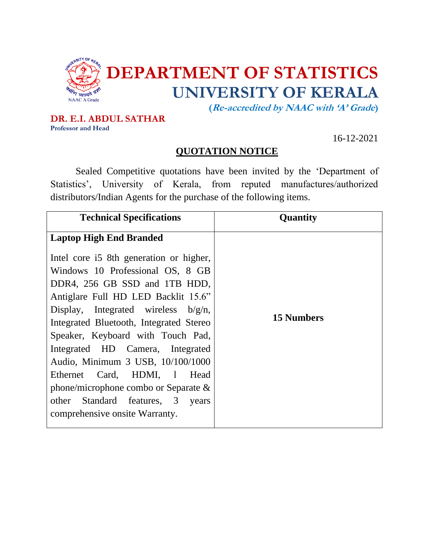

**DR. E.I. ABDUL SATHAR Professor and Head**

16-12-2021

## **QUOTATION NOTICE**

Sealed Competitive quotations have been invited by the 'Department of Statistics', University of Kerala, from reputed manufactures/authorized distributors/Indian Agents for the purchase of the following items.

| <b>Technical Specifications</b>         | <b>Quantity</b>   |
|-----------------------------------------|-------------------|
| <b>Laptop High End Branded</b>          |                   |
| Intel core i5 8th generation or higher, |                   |
| Windows 10 Professional OS, 8 GB        |                   |
| DDR4, 256 GB SSD and 1TB HDD,           |                   |
| Antiglare Full HD LED Backlit 15.6"     |                   |
| Display, Integrated wireless $b/g/n$ ,  |                   |
| Integrated Bluetooth, Integrated Stereo | <b>15 Numbers</b> |
| Speaker, Keyboard with Touch Pad,       |                   |
| Integrated HD Camera, Integrated        |                   |
| Audio, Minimum 3 USB, 10/100/1000       |                   |
| Ethernet Card, HDMI, 1 Head             |                   |
| phone/microphone combo or Separate $\&$ |                   |
| other Standard features, 3<br>years     |                   |
| comprehensive onsite Warranty.          |                   |